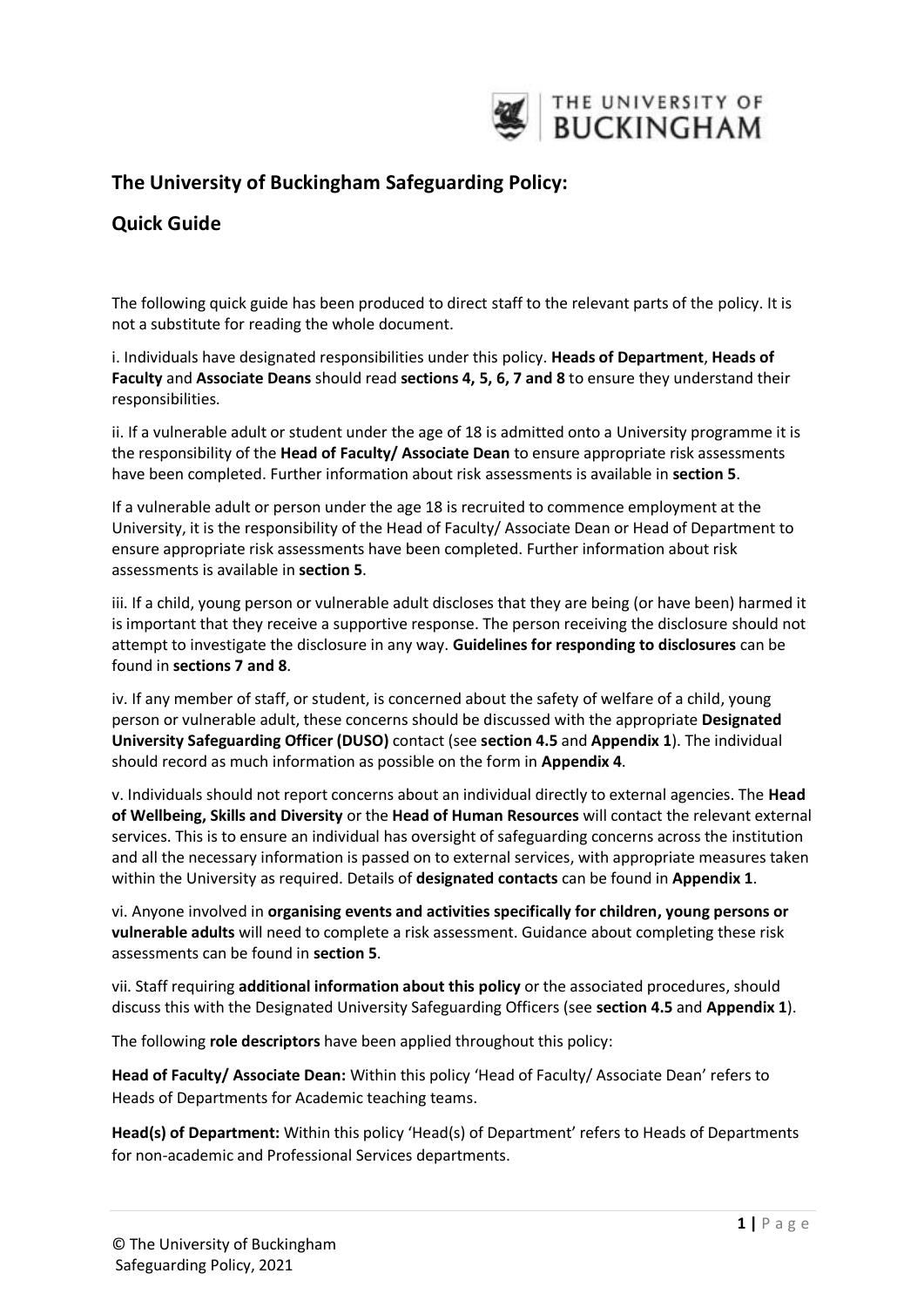

## **The University of Buckingham Safeguarding Policy:**

## **Quick Guide**

The following quick guide has been produced to direct staff to the relevant parts of the policy. It is not a substitute for reading the whole document.

i. Individuals have designated responsibilities under this policy. **Heads of Department**, **Heads of Faculty** and **Associate Deans** should read **sections 4, 5, 6, 7 and 8** to ensure they understand their responsibilities.

ii. If a vulnerable adult or student under the age of 18 is admitted onto a University programme it is the responsibility of the **Head of Faculty/ Associate Dean** to ensure appropriate risk assessments have been completed. Further information about risk assessments is available in **section 5**.

If a vulnerable adult or person under the age 18 is recruited to commence employment at the University, it is the responsibility of the Head of Faculty/ Associate Dean or Head of Department to ensure appropriate risk assessments have been completed. Further information about risk assessments is available in **section 5**.

iii. If a child, young person or vulnerable adult discloses that they are being (or have been) harmed it is important that they receive a supportive response. The person receiving the disclosure should not attempt to investigate the disclosure in any way. **Guidelines for responding to disclosures** can be found in **sections 7 and 8**.

iv. If any member of staff, or student, is concerned about the safety of welfare of a child, young person or vulnerable adult, these concerns should be discussed with the appropriate **Designated University Safeguarding Officer (DUSO)** contact (see **section 4.5** and **Appendix 1**). The individual should record as much information as possible on the form in **Appendix 4**.

v. Individuals should not report concerns about an individual directly to external agencies. The **Head of Wellbeing, Skills and Diversity** or the **Head of Human Resources** will contact the relevant external services. This is to ensure an individual has oversight of safeguarding concerns across the institution and all the necessary information is passed on to external services, with appropriate measures taken within the University as required. Details of **designated contacts** can be found in **Appendix 1**.

vi. Anyone involved in **organising events and activities specifically for children, young persons or vulnerable adults** will need to complete a risk assessment. Guidance about completing these risk assessments can be found in **section 5**.

vii. Staff requiring **additional information about this policy** or the associated procedures, should discuss this with the Designated University Safeguarding Officers (see **section 4.5** and **Appendix 1**).

The following **role descriptors** have been applied throughout this policy:

**Head of Faculty/ Associate Dean:** Within this policy 'Head of Faculty/ Associate Dean' refers to Heads of Departments for Academic teaching teams.

**Head(s) of Department:** Within this policy 'Head(s) of Department' refers to Heads of Departments for non-academic and Professional Services departments.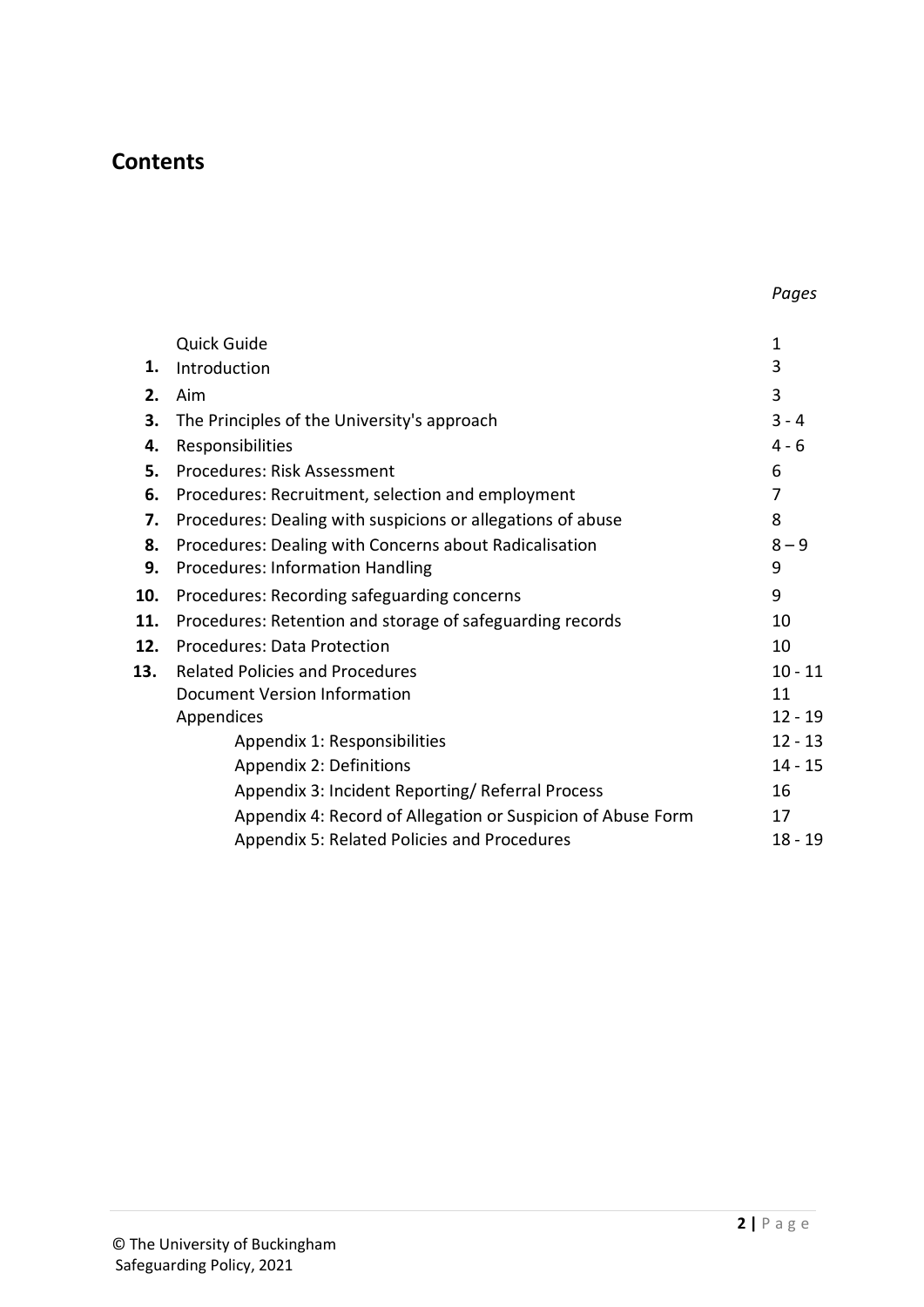# **Contents**

|     | Quick Guide                                                 | 1         |
|-----|-------------------------------------------------------------|-----------|
| 1.  | Introduction                                                | 3         |
| 2.  | Aim                                                         | 3         |
| З.  | The Principles of the University's approach                 | $3 - 4$   |
| 4.  | Responsibilities                                            | 4 - 6     |
| 5.  | Procedures: Risk Assessment                                 | 6         |
| 6.  | Procedures: Recruitment, selection and employment           | 7         |
| 7.  | Procedures: Dealing with suspicions or allegations of abuse | 8         |
| 8.  | Procedures: Dealing with Concerns about Radicalisation      | $8 - 9$   |
| 9.  | Procedures: Information Handling                            | 9         |
| 10. | Procedures: Recording safeguarding concerns                 | 9         |
| 11. | Procedures: Retention and storage of safeguarding records   | 10        |
| 12. | <b>Procedures: Data Protection</b>                          | 10        |
| 13. | <b>Related Policies and Procedures</b>                      | $10 - 11$ |
|     | Document Version Information                                | 11        |
|     | Appendices                                                  | $12 - 19$ |
|     | Appendix 1: Responsibilities                                | $12 - 13$ |
|     | Appendix 2: Definitions                                     | $14 - 15$ |
|     | Appendix 3: Incident Reporting/ Referral Process            | 16        |
|     | Appendix 4: Record of Allegation or Suspicion of Abuse Form | 17        |
|     | Appendix 5: Related Policies and Procedures                 | $18 - 19$ |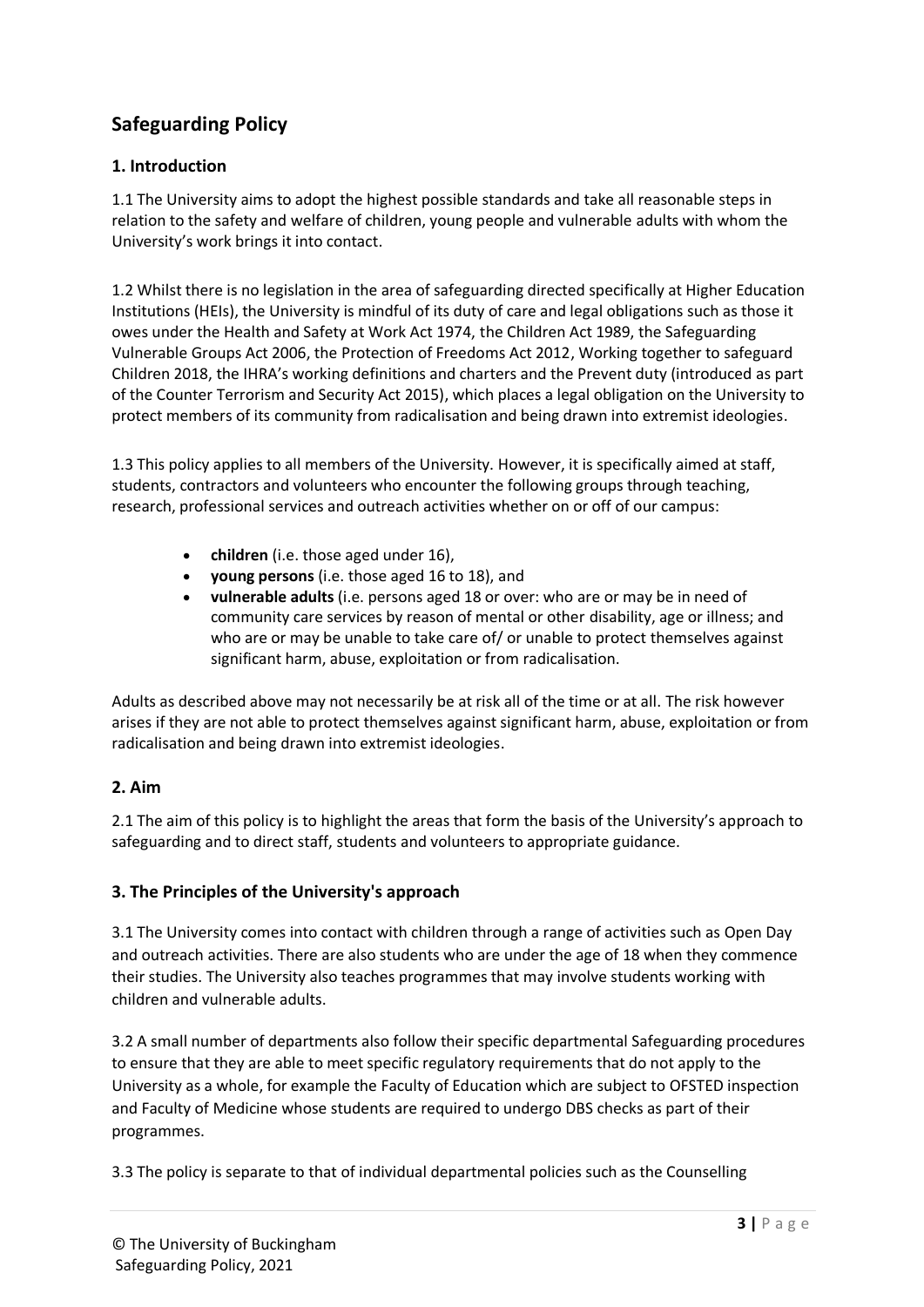## **Safeguarding Policy**

## **1. Introduction**

1.1 The University aims to adopt the highest possible standards and take all reasonable steps in relation to the safety and welfare of children, young people and vulnerable adults with whom the University's work brings it into contact.

1.2 Whilst there is no legislation in the area of safeguarding directed specifically at Higher Education Institutions (HEIs), the University is mindful of its duty of care and legal obligations such as those it owes under the Health and Safety at Work Act 1974, the Children Act 1989, the Safeguarding Vulnerable Groups Act 2006, the Protection of Freedoms Act 2012, Working together to safeguard Children 2018, the IHRA's working definitions and charters and the Prevent duty (introduced as part of the Counter Terrorism and Security Act 2015), which places a legal obligation on the University to protect members of its community from radicalisation and being drawn into extremist ideologies.

1.3 This policy applies to all members of the University. However, it is specifically aimed at staff, students, contractors and volunteers who encounter the following groups through teaching, research, professional services and outreach activities whether on or off of our campus:

- **children** (i.e. those aged under 16),
- **young persons** (i.e. those aged 16 to 18), and
- **vulnerable adults** (i.e. persons aged 18 or over: who are or may be in need of community care services by reason of mental or other disability, age or illness; and who are or may be unable to take care of/ or unable to protect themselves against significant harm, abuse, exploitation or from radicalisation.

Adults as described above may not necessarily be at risk all of the time or at all. The risk however arises if they are not able to protect themselves against significant harm, abuse, exploitation or from radicalisation and being drawn into extremist ideologies.

## **2. Aim**

2.1 The aim of this policy is to highlight the areas that form the basis of the University's approach to safeguarding and to direct staff, students and volunteers to appropriate guidance.

## **3. The Principles of the University's approach**

3.1 The University comes into contact with children through a range of activities such as Open Day and outreach activities. There are also students who are under the age of 18 when they commence their studies. The University also teaches programmes that may involve students working with children and vulnerable adults.

3.2 A small number of departments also follow their specific departmental Safeguarding procedures to ensure that they are able to meet specific regulatory requirements that do not apply to the University as a whole, for example the Faculty of Education which are subject to OFSTED inspection and Faculty of Medicine whose students are required to undergo DBS checks as part of their programmes.

3.3 The policy is separate to that of individual departmental policies such as the Counselling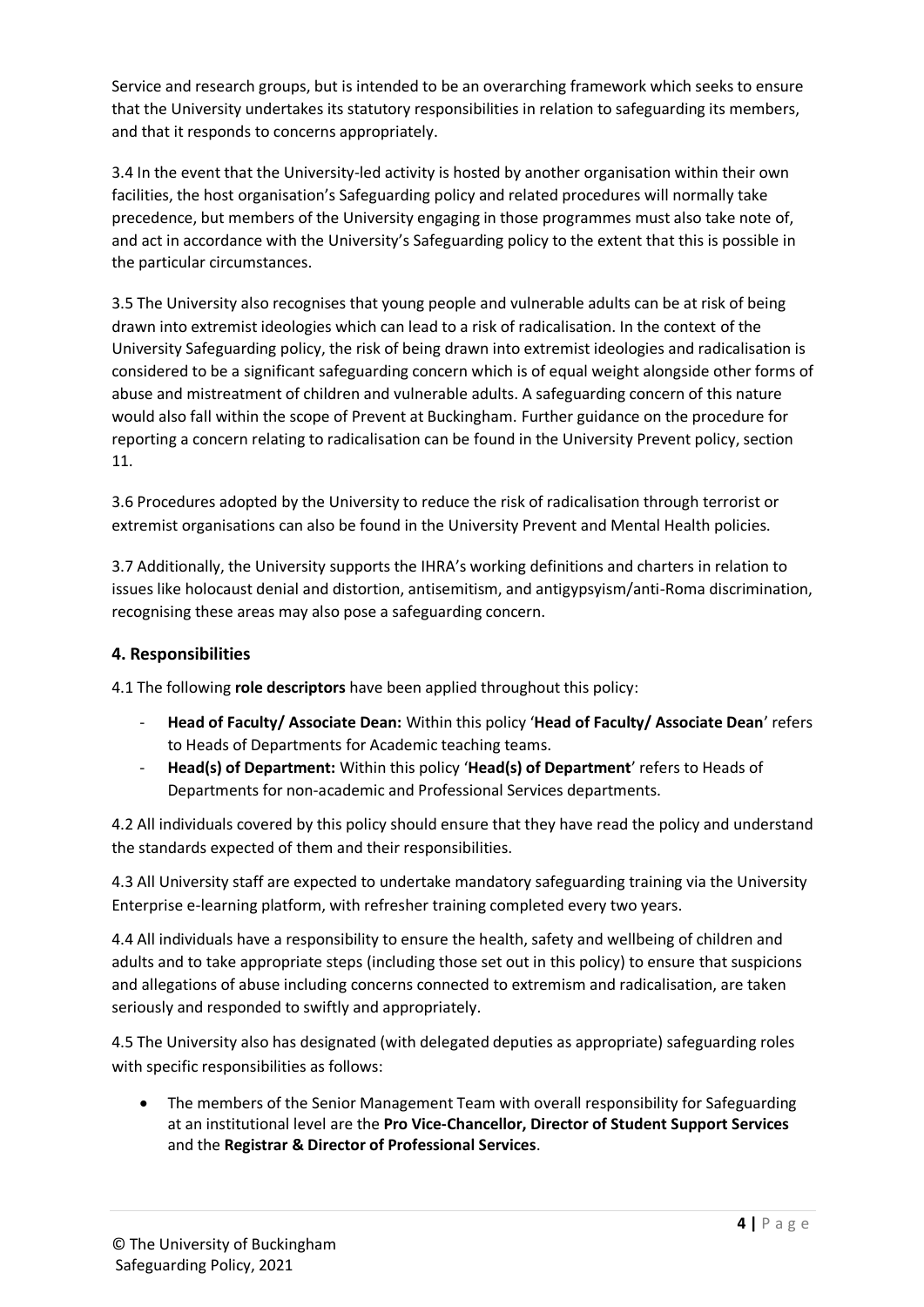Service and research groups, but is intended to be an overarching framework which seeks to ensure that the University undertakes its statutory responsibilities in relation to safeguarding its members, and that it responds to concerns appropriately.

3.4 In the event that the University-led activity is hosted by another organisation within their own facilities, the host organisation's Safeguarding policy and related procedures will normally take precedence, but members of the University engaging in those programmes must also take note of, and act in accordance with the University's Safeguarding policy to the extent that this is possible in the particular circumstances.

3.5 The University also recognises that young people and vulnerable adults can be at risk of being drawn into extremist ideologies which can lead to a risk of radicalisation. In the context of the University Safeguarding policy, the risk of being drawn into extremist ideologies and radicalisation is considered to be a significant safeguarding concern which is of equal weight alongside other forms of abuse and mistreatment of children and vulnerable adults. A safeguarding concern of this nature would also fall within the scope of Prevent at Buckingham. Further guidance on the procedure for reporting a concern relating to radicalisation can be found in the University Prevent policy, section 11.

3.6 Procedures adopted by the University to reduce the risk of radicalisation through terrorist or extremist organisations can also be found in the University Prevent and Mental Health policies.

3.7 Additionally, the University supports the IHRA's working definitions and charters in relation to issues like holocaust denial and distortion, antisemitism, and antigypsyism/anti-Roma discrimination, recognising these areas may also pose a safeguarding concern.

## **4. Responsibilities**

4.1 The following **role descriptors** have been applied throughout this policy:

- **Head of Faculty/ Associate Dean:** Within this policy '**Head of Faculty/ Associate Dean**' refers to Heads of Departments for Academic teaching teams.
- **Head(s) of Department:** Within this policy '**Head(s) of Department**' refers to Heads of Departments for non-academic and Professional Services departments.

4.2 All individuals covered by this policy should ensure that they have read the policy and understand the standards expected of them and their responsibilities.

4.3 All University staff are expected to undertake mandatory safeguarding training via the University Enterprise e-learning platform, with refresher training completed every two years.

4.4 All individuals have a responsibility to ensure the health, safety and wellbeing of children and adults and to take appropriate steps (including those set out in this policy) to ensure that suspicions and allegations of abuse including concerns connected to extremism and radicalisation, are taken seriously and responded to swiftly and appropriately.

4.5 The University also has designated (with delegated deputies as appropriate) safeguarding roles with specific responsibilities as follows:

• The members of the Senior Management Team with overall responsibility for Safeguarding at an institutional level are the **Pro Vice-Chancellor, Director of Student Support Services** and the **Registrar & Director of Professional Services**.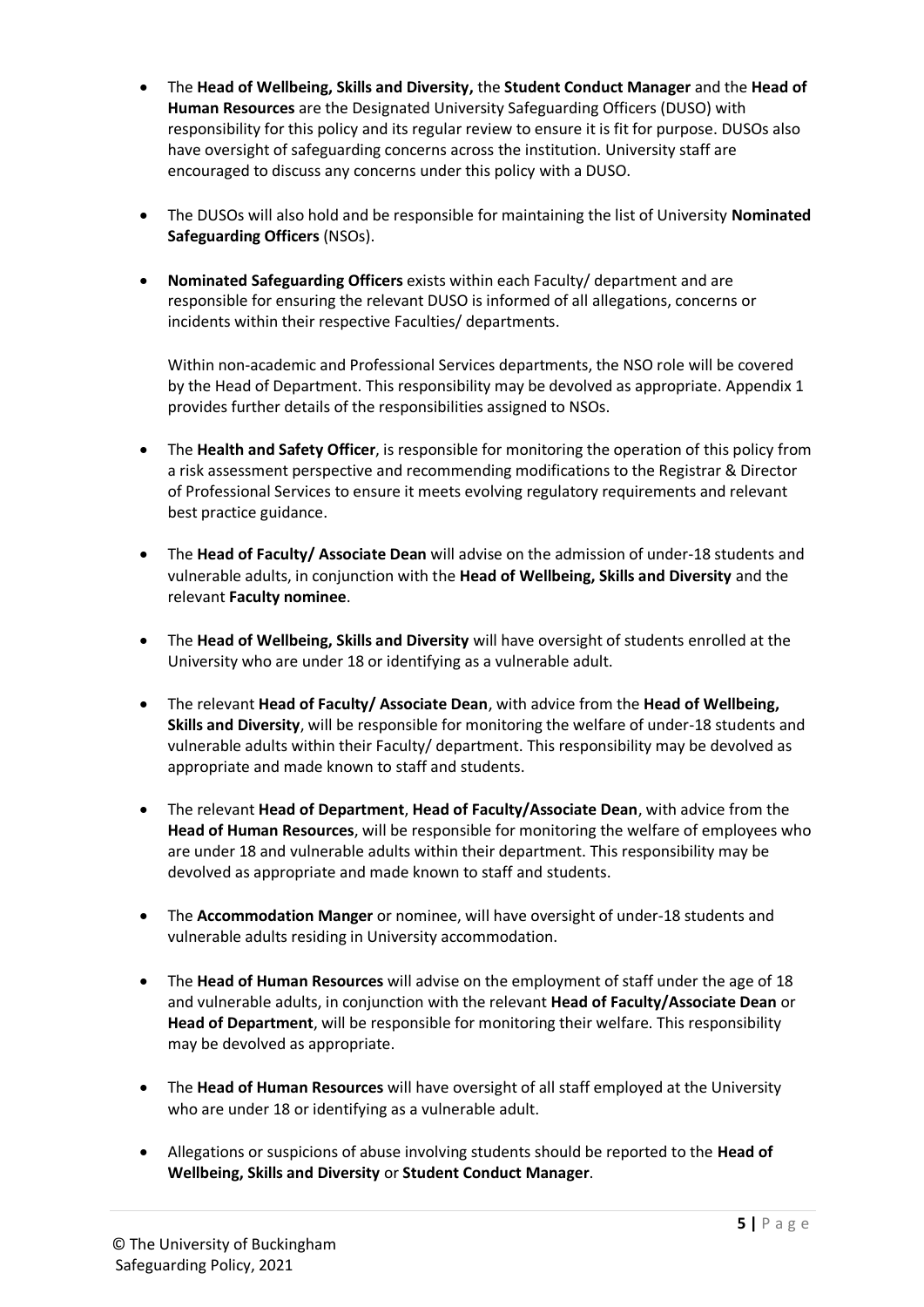- The **Head of Wellbeing, Skills and Diversity,** the **Student Conduct Manager** and the **Head of Human Resources** are the Designated University Safeguarding Officers (DUSO) with responsibility for this policy and its regular review to ensure it is fit for purpose. DUSOs also have oversight of safeguarding concerns across the institution. University staff are encouraged to discuss any concerns under this policy with a DUSO.
- The DUSOs will also hold and be responsible for maintaining the list of University **Nominated Safeguarding Officers** (NSOs).
- **Nominated Safeguarding Officers** exists within each Faculty/ department and are responsible for ensuring the relevant DUSO is informed of all allegations, concerns or incidents within their respective Faculties/ departments.

Within non-academic and Professional Services departments, the NSO role will be covered by the Head of Department. This responsibility may be devolved as appropriate. Appendix 1 provides further details of the responsibilities assigned to NSOs.

- The **Health and Safety Officer**, is responsible for monitoring the operation of this policy from a risk assessment perspective and recommending modifications to the Registrar & Director of Professional Services to ensure it meets evolving regulatory requirements and relevant best practice guidance.
- The **Head of Faculty/ Associate Dean** will advise on the admission of under-18 students and vulnerable adults, in conjunction with the **Head of Wellbeing, Skills and Diversity** and the relevant **Faculty nominee**.
- The **Head of Wellbeing, Skills and Diversity** will have oversight of students enrolled at the University who are under 18 or identifying as a vulnerable adult.
- The relevant **Head of Faculty/ Associate Dean**, with advice from the **Head of Wellbeing, Skills and Diversity**, will be responsible for monitoring the welfare of under-18 students and vulnerable adults within their Faculty/ department. This responsibility may be devolved as appropriate and made known to staff and students.
- The relevant **Head of Department**, **Head of Faculty/Associate Dean**, with advice from the **Head of Human Resources**, will be responsible for monitoring the welfare of employees who are under 18 and vulnerable adults within their department. This responsibility may be devolved as appropriate and made known to staff and students.
- The **Accommodation Manger** or nominee, will have oversight of under-18 students and vulnerable adults residing in University accommodation.
- The **Head of Human Resources** will advise on the employment of staff under the age of 18 and vulnerable adults, in conjunction with the relevant **Head of Faculty/Associate Dean** or **Head of Department**, will be responsible for monitoring their welfare. This responsibility may be devolved as appropriate.
- The **Head of Human Resources** will have oversight of all staff employed at the University who are under 18 or identifying as a vulnerable adult.
- Allegations or suspicions of abuse involving students should be reported to the **Head of Wellbeing, Skills and Diversity** or **Student Conduct Manager**.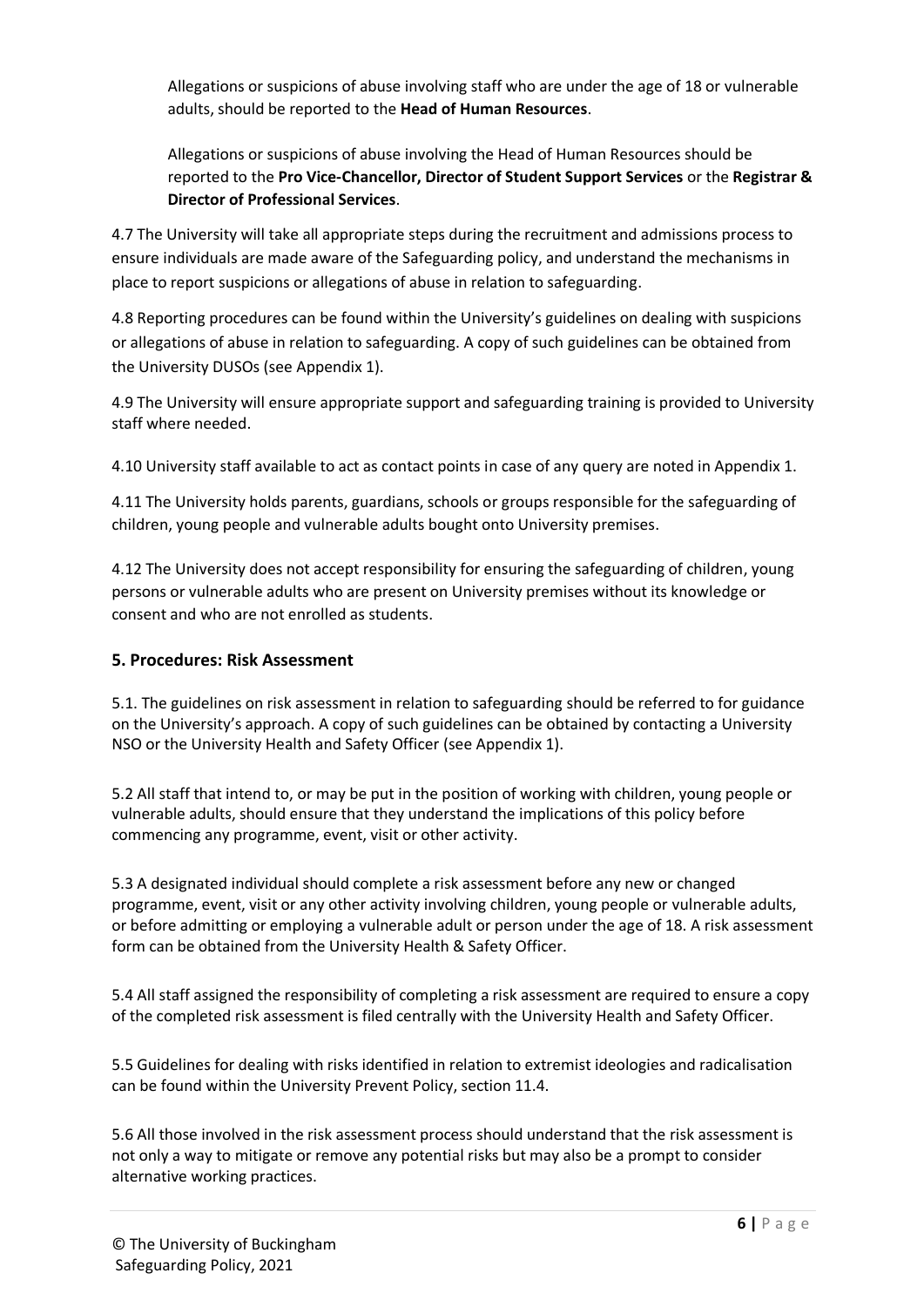Allegations or suspicions of abuse involving staff who are under the age of 18 or vulnerable adults, should be reported to the **Head of Human Resources**.

Allegations or suspicions of abuse involving the Head of Human Resources should be reported to the **Pro Vice-Chancellor, Director of Student Support Services** or the **Registrar & Director of Professional Services**.

4.7 The University will take all appropriate steps during the recruitment and admissions process to ensure individuals are made aware of the Safeguarding policy, and understand the mechanisms in place to report suspicions or allegations of abuse in relation to safeguarding.

4.8 Reporting procedures can be found within the University's guidelines on dealing with suspicions or allegations of abuse in relation to safeguarding. A copy of such guidelines can be obtained from the University DUSOs (see Appendix 1).

4.9 The University will ensure appropriate support and safeguarding training is provided to University staff where needed.

4.10 University staff available to act as contact points in case of any query are noted in Appendix 1.

4.11 The University holds parents, guardians, schools or groups responsible for the safeguarding of children, young people and vulnerable adults bought onto University premises.

4.12 The University does not accept responsibility for ensuring the safeguarding of children, young persons or vulnerable adults who are present on University premises without its knowledge or consent and who are not enrolled as students.

### **5. Procedures: Risk Assessment**

5.1. The guidelines on risk assessment in relation to safeguarding should be referred to for guidance on the University's approach. A copy of such guidelines can be obtained by contacting a University NSO or the University Health and Safety Officer (see Appendix 1).

5.2 All staff that intend to, or may be put in the position of working with children, young people or vulnerable adults, should ensure that they understand the implications of this policy before commencing any programme, event, visit or other activity.

5.3 A designated individual should complete a risk assessment before any new or changed programme, event, visit or any other activity involving children, young people or vulnerable adults, or before admitting or employing a vulnerable adult or person under the age of 18. A risk assessment form can be obtained from the University Health & Safety Officer.

5.4 All staff assigned the responsibility of completing a risk assessment are required to ensure a copy of the completed risk assessment is filed centrally with the University Health and Safety Officer.

5.5 Guidelines for dealing with risks identified in relation to extremist ideologies and radicalisation can be found within the University Prevent Policy, section 11.4.

5.6 All those involved in the risk assessment process should understand that the risk assessment is not only a way to mitigate or remove any potential risks but may also be a prompt to consider alternative working practices.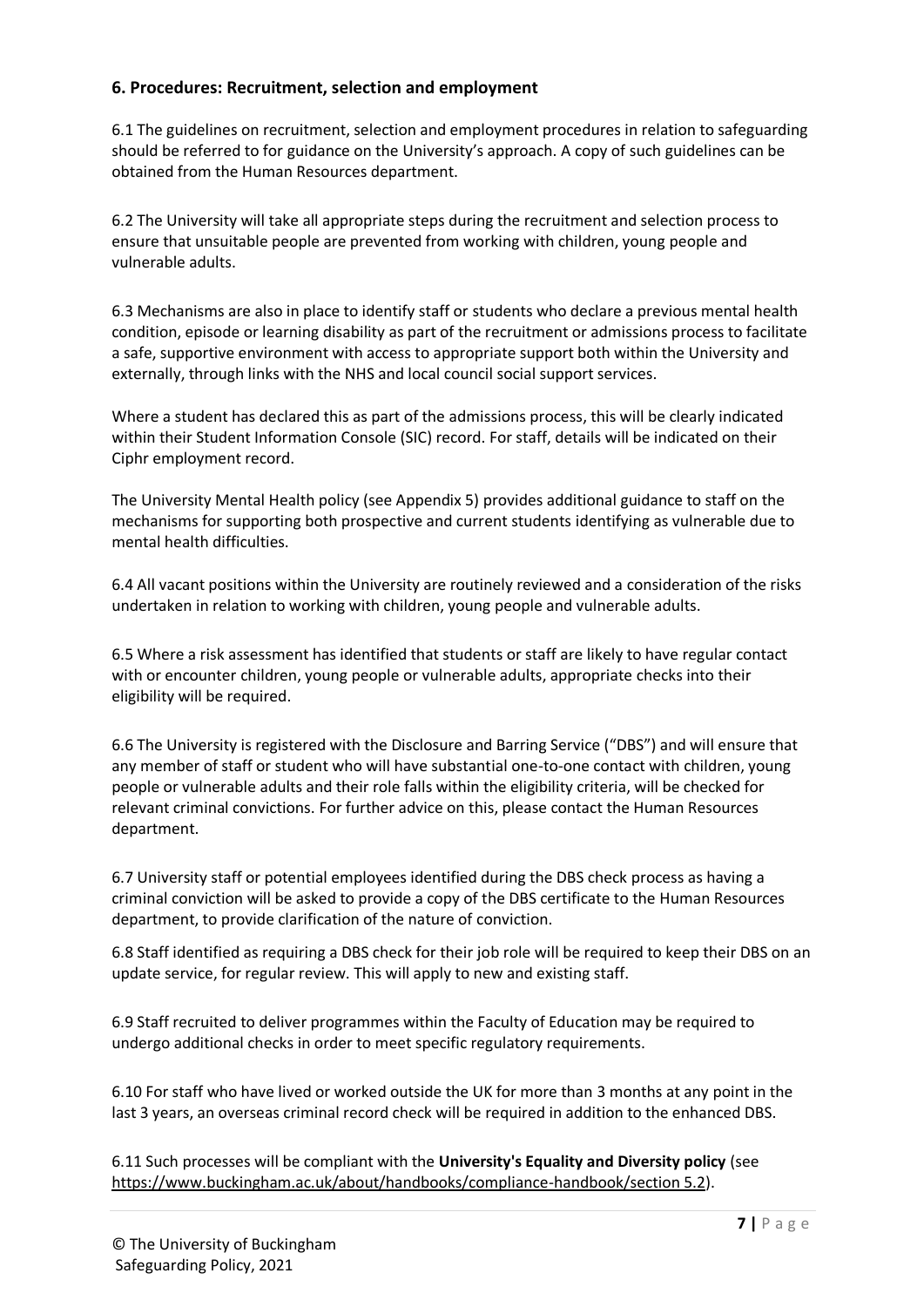### **6. Procedures: Recruitment, selection and employment**

6.1 The guidelines on recruitment, selection and employment procedures in relation to safeguarding should be referred to for guidance on the University's approach. A copy of such guidelines can be obtained from the Human Resources department.

6.2 The University will take all appropriate steps during the recruitment and selection process to ensure that unsuitable people are prevented from working with children, young people and vulnerable adults.

6.3 Mechanisms are also in place to identify staff or students who declare a previous mental health condition, episode or learning disability as part of the recruitment or admissions process to facilitate a safe, supportive environment with access to appropriate support both within the University and externally, through links with the NHS and local council social support services.

Where a student has declared this as part of the admissions process, this will be clearly indicated within their Student Information Console (SIC) record. For staff, details will be indicated on their Ciphr employment record.

The University Mental Health policy (see Appendix 5) provides additional guidance to staff on the mechanisms for supporting both prospective and current students identifying as vulnerable due to mental health difficulties.

6.4 All vacant positions within the University are routinely reviewed and a consideration of the risks undertaken in relation to working with children, young people and vulnerable adults.

6.5 Where a risk assessment has identified that students or staff are likely to have regular contact with or encounter children, young people or vulnerable adults, appropriate checks into their eligibility will be required.

6.6 The University is registered with the Disclosure and Barring Service ("DBS") and will ensure that any member of staff or student who will have substantial one-to-one contact with children, young people or vulnerable adults and their role falls within the eligibility criteria, will be checked for relevant criminal convictions. For further advice on this, please contact the Human Resources department.

6.7 University staff or potential employees identified during the DBS check process as having a criminal conviction will be asked to provide a copy of the DBS certificate to the Human Resources department, to provide clarification of the nature of conviction.

6.8 Staff identified as requiring a DBS check for their job role will be required to keep their DBS on an update service, for regular review. This will apply to new and existing staff.

6.9 Staff recruited to deliver programmes within the Faculty of Education may be required to undergo additional checks in order to meet specific regulatory requirements.

6.10 For staff who have lived or worked outside the UK for more than 3 months at any point in the last 3 years, an overseas criminal record check will be required in addition to the enhanced DBS.

6.11 Such processes will be compliant with the **University's Equality and Diversity policy** (see [https://www.buckingham.ac.uk/about/handbooks/compliance-handbook/section 5.2\)](https://www.buckingham.ac.uk/about/handbooks/compliance-handbook/section%205.2).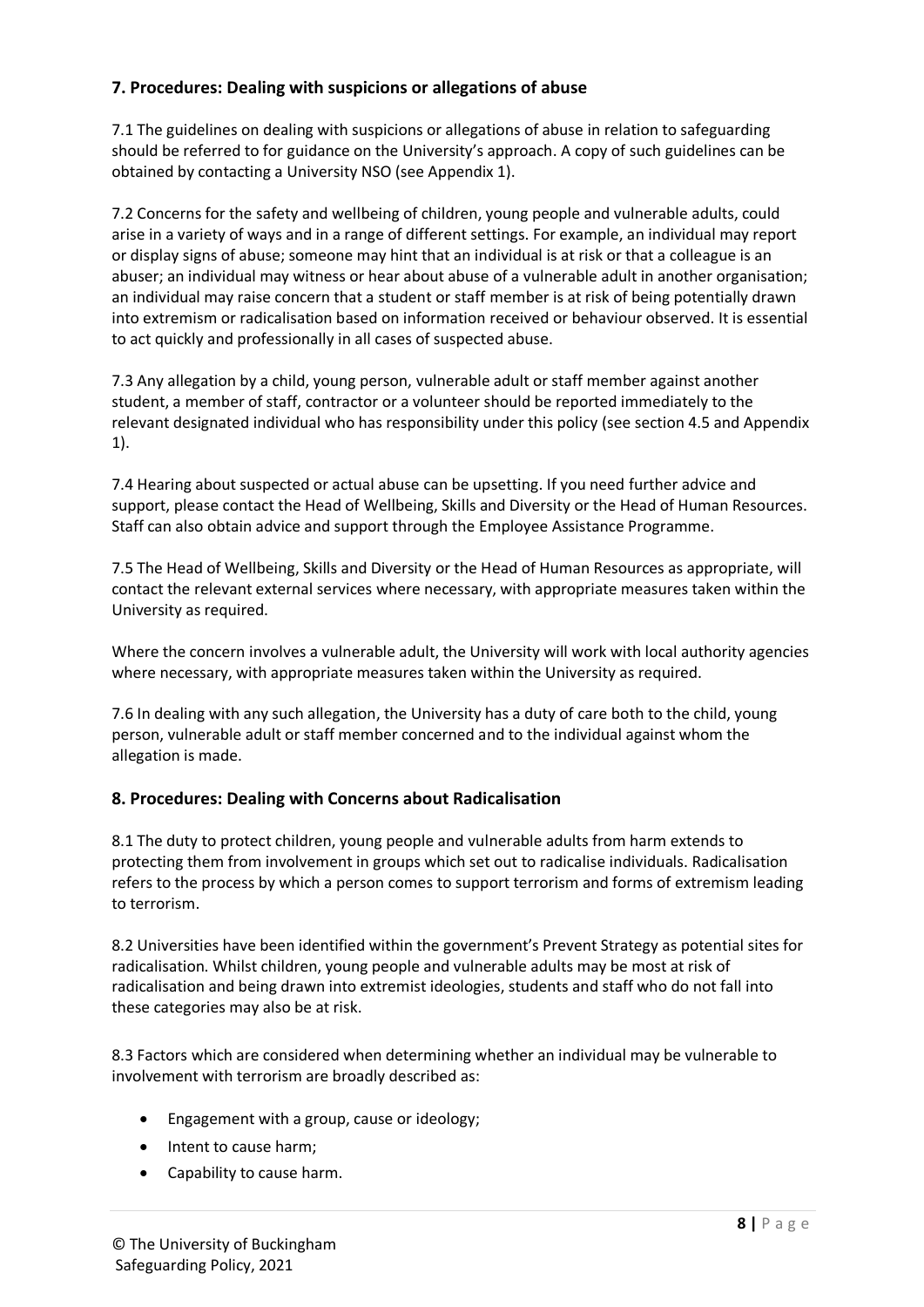## **7. Procedures: Dealing with suspicions or allegations of abuse**

7.1 The guidelines on dealing with suspicions or allegations of abuse in relation to safeguarding should be referred to for guidance on the University's approach. A copy of such guidelines can be obtained by contacting a University NSO (see Appendix 1).

7.2 Concerns for the safety and wellbeing of children, young people and vulnerable adults, could arise in a variety of ways and in a range of different settings. For example, an individual may report or display signs of abuse; someone may hint that an individual is at risk or that a colleague is an abuser; an individual may witness or hear about abuse of a vulnerable adult in another organisation; an individual may raise concern that a student or staff member is at risk of being potentially drawn into extremism or radicalisation based on information received or behaviour observed. It is essential to act quickly and professionally in all cases of suspected abuse.

7.3 Any allegation by a child, young person, vulnerable adult or staff member against another student, a member of staff, contractor or a volunteer should be reported immediately to the relevant designated individual who has responsibility under this policy (see section 4.5 and Appendix 1).

7.4 Hearing about suspected or actual abuse can be upsetting. If you need further advice and support, please contact the Head of Wellbeing, Skills and Diversity or the Head of Human Resources. Staff can also obtain advice and support through the Employee Assistance Programme.

7.5 The Head of Wellbeing, Skills and Diversity or the Head of Human Resources as appropriate, will contact the relevant external services where necessary, with appropriate measures taken within the University as required.

Where the concern involves a vulnerable adult, the University will work with local authority agencies where necessary, with appropriate measures taken within the University as required.

7.6 In dealing with any such allegation, the University has a duty of care both to the child, young person, vulnerable adult or staff member concerned and to the individual against whom the allegation is made.

#### **8. Procedures: Dealing with Concerns about Radicalisation**

8.1 The duty to protect children, young people and vulnerable adults from harm extends to protecting them from involvement in groups which set out to radicalise individuals. Radicalisation refers to the process by which a person comes to support terrorism and forms of extremism leading to terrorism.

8.2 Universities have been identified within the government's Prevent Strategy as potential sites for radicalisation. Whilst children, young people and vulnerable adults may be most at risk of radicalisation and being drawn into extremist ideologies, students and staff who do not fall into these categories may also be at risk.

8.3 Factors which are considered when determining whether an individual may be vulnerable to involvement with terrorism are broadly described as:

- Engagement with a group, cause or ideology;
- Intent to cause harm;
- Capability to cause harm.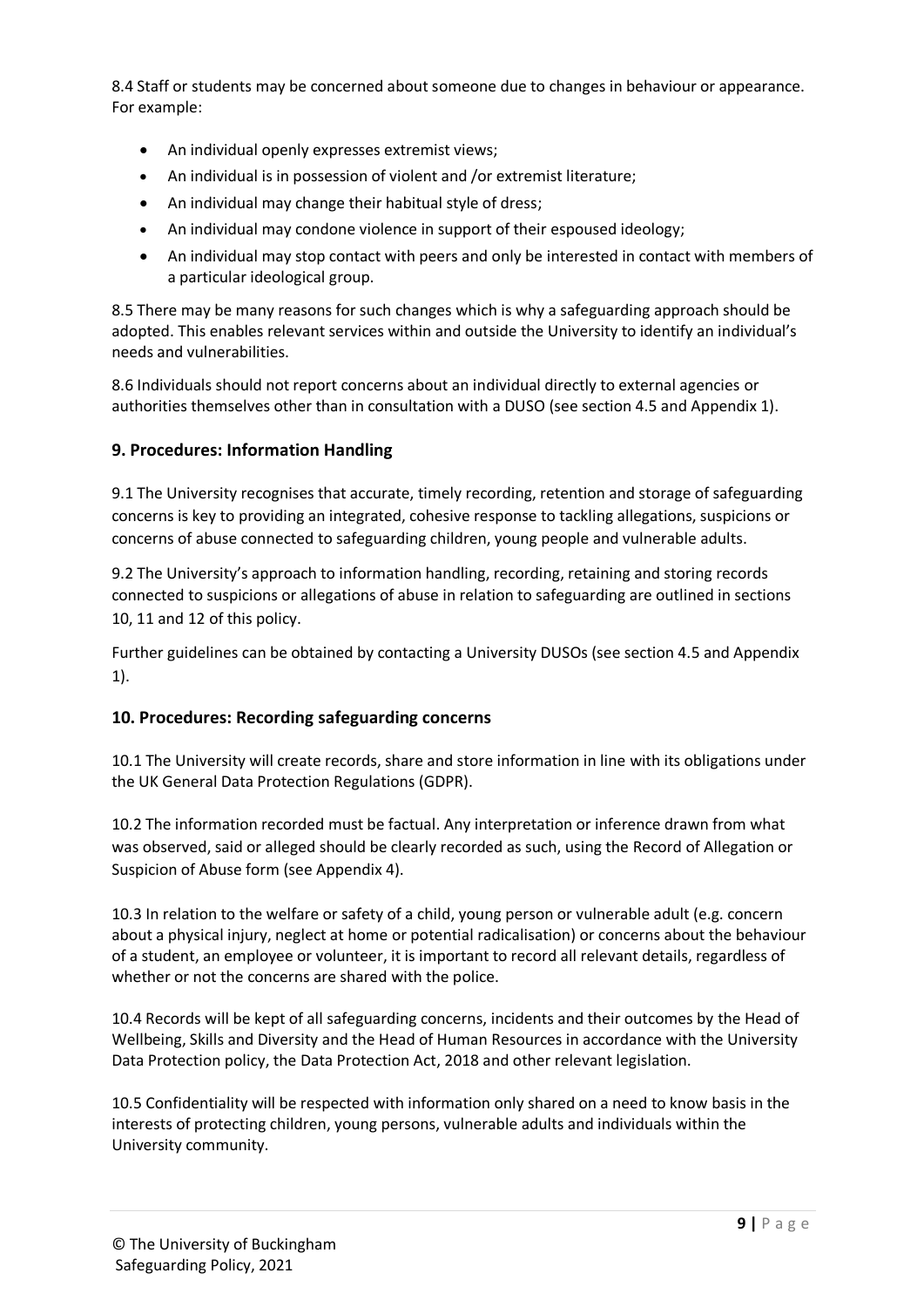8.4 Staff or students may be concerned about someone due to changes in behaviour or appearance. For example:

- An individual openly expresses extremist views;
- An individual is in possession of violent and /or extremist literature;
- An individual may change their habitual style of dress;
- An individual may condone violence in support of their espoused ideology;
- An individual may stop contact with peers and only be interested in contact with members of a particular ideological group.

8.5 There may be many reasons for such changes which is why a safeguarding approach should be adopted. This enables relevant services within and outside the University to identify an individual's needs and vulnerabilities.

8.6 Individuals should not report concerns about an individual directly to external agencies or authorities themselves other than in consultation with a DUSO (see section 4.5 and Appendix 1).

### **9. Procedures: Information Handling**

9.1 The University recognises that accurate, timely recording, retention and storage of safeguarding concerns is key to providing an integrated, cohesive response to tackling allegations, suspicions or concerns of abuse connected to safeguarding children, young people and vulnerable adults.

9.2 The University's approach to information handling, recording, retaining and storing records connected to suspicions or allegations of abuse in relation to safeguarding are outlined in sections 10, 11 and 12 of this policy.

Further guidelines can be obtained by contacting a University DUSOs (see section 4.5 and Appendix 1).

#### **10. Procedures: Recording safeguarding concerns**

10.1 The University will create records, share and store information in line with its obligations under the UK General Data Protection Regulations (GDPR).

10.2 The information recorded must be factual. Any interpretation or inference drawn from what was observed, said or alleged should be clearly recorded as such, using the Record of Allegation or Suspicion of Abuse form (see Appendix 4).

10.3 In relation to the welfare or safety of a child, young person or vulnerable adult (e.g. concern about a physical injury, neglect at home or potential radicalisation) or concerns about the behaviour of a student, an employee or volunteer, it is important to record all relevant details, regardless of whether or not the concerns are shared with the police.

10.4 Records will be kept of all safeguarding concerns, incidents and their outcomes by the Head of Wellbeing, Skills and Diversity and the Head of Human Resources in accordance with the University Data Protection policy, the Data Protection Act, 2018 and other relevant legislation.

10.5 Confidentiality will be respected with information only shared on a need to know basis in the interests of protecting children, young persons, vulnerable adults and individuals within the University community.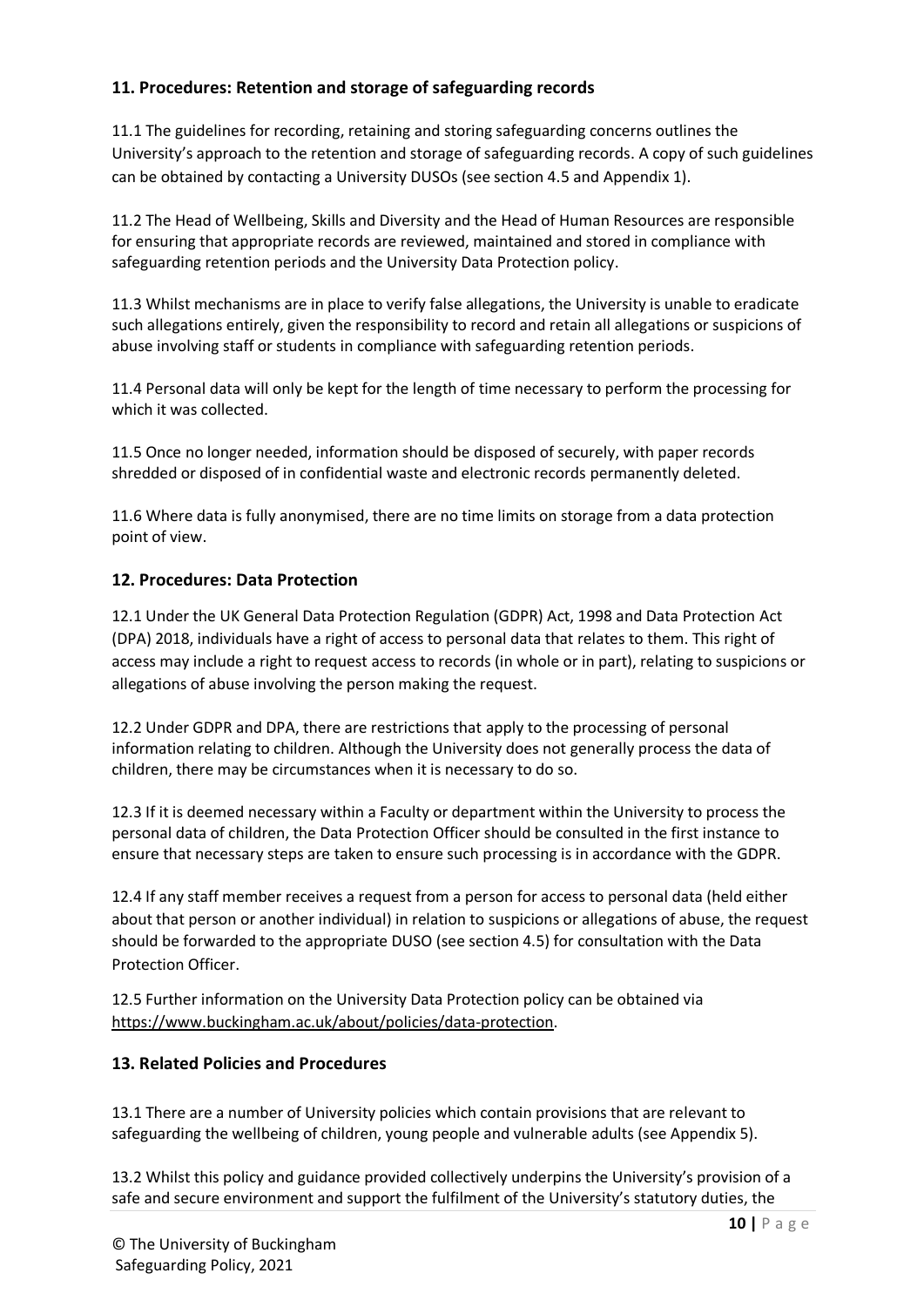## **11. Procedures: Retention and storage of safeguarding records**

11.1 The guidelines for recording, retaining and storing safeguarding concerns outlines the University's approach to the retention and storage of safeguarding records. A copy of such guidelines can be obtained by contacting a University DUSOs (see section 4.5 and Appendix 1).

11.2 The Head of Wellbeing, Skills and Diversity and the Head of Human Resources are responsible for ensuring that appropriate records are reviewed, maintained and stored in compliance with safeguarding retention periods and the University Data Protection policy.

11.3 Whilst mechanisms are in place to verify false allegations, the University is unable to eradicate such allegations entirely, given the responsibility to record and retain all allegations or suspicions of abuse involving staff or students in compliance with safeguarding retention periods.

11.4 Personal data will only be kept for the length of time necessary to perform the processing for which it was collected.

11.5 Once no longer needed, information should be disposed of securely, with paper records shredded or disposed of in confidential waste and electronic records permanently deleted.

11.6 Where data is fully anonymised, there are no time limits on storage from a data protection point of view.

## **12. Procedures: Data Protection**

12.1 Under the UK General Data Protection Regulation (GDPR) Act, 1998 and Data Protection Act (DPA) 2018, individuals have a right of access to personal data that relates to them. This right of access may include a right to request access to records (in whole or in part), relating to suspicions or allegations of abuse involving the person making the request.

12.2 Under GDPR and DPA, there are restrictions that apply to the processing of personal information relating to children. Although the University does not generally process the data of children, there may be circumstances when it is necessary to do so.

12.3 If it is deemed necessary within a Faculty or department within the University to process the personal data of children, the Data Protection Officer should be consulted in the first instance to ensure that necessary steps are taken to ensure such processing is in accordance with the GDPR.

12.4 If any staff member receives a request from a person for access to personal data (held either about that person or another individual) in relation to suspicions or allegations of abuse, the request should be forwarded to the appropriate DUSO (see section 4.5) for consultation with the Data Protection Officer.

12.5 Further information on the University Data Protection policy can be obtained via [https://www.buckingham.ac.uk/about/policies/data-protection.](https://www.buckingham.ac.uk/about/policies/data-protection)

## **13. Related Policies and Procedures**

13.1 There are a number of University policies which contain provisions that are relevant to safeguarding the wellbeing of children, young people and vulnerable adults (see Appendix 5).

13.2 Whilst this policy and guidance provided collectively underpins the University's provision of a safe and secure environment and support the fulfilment of the University's statutory duties, the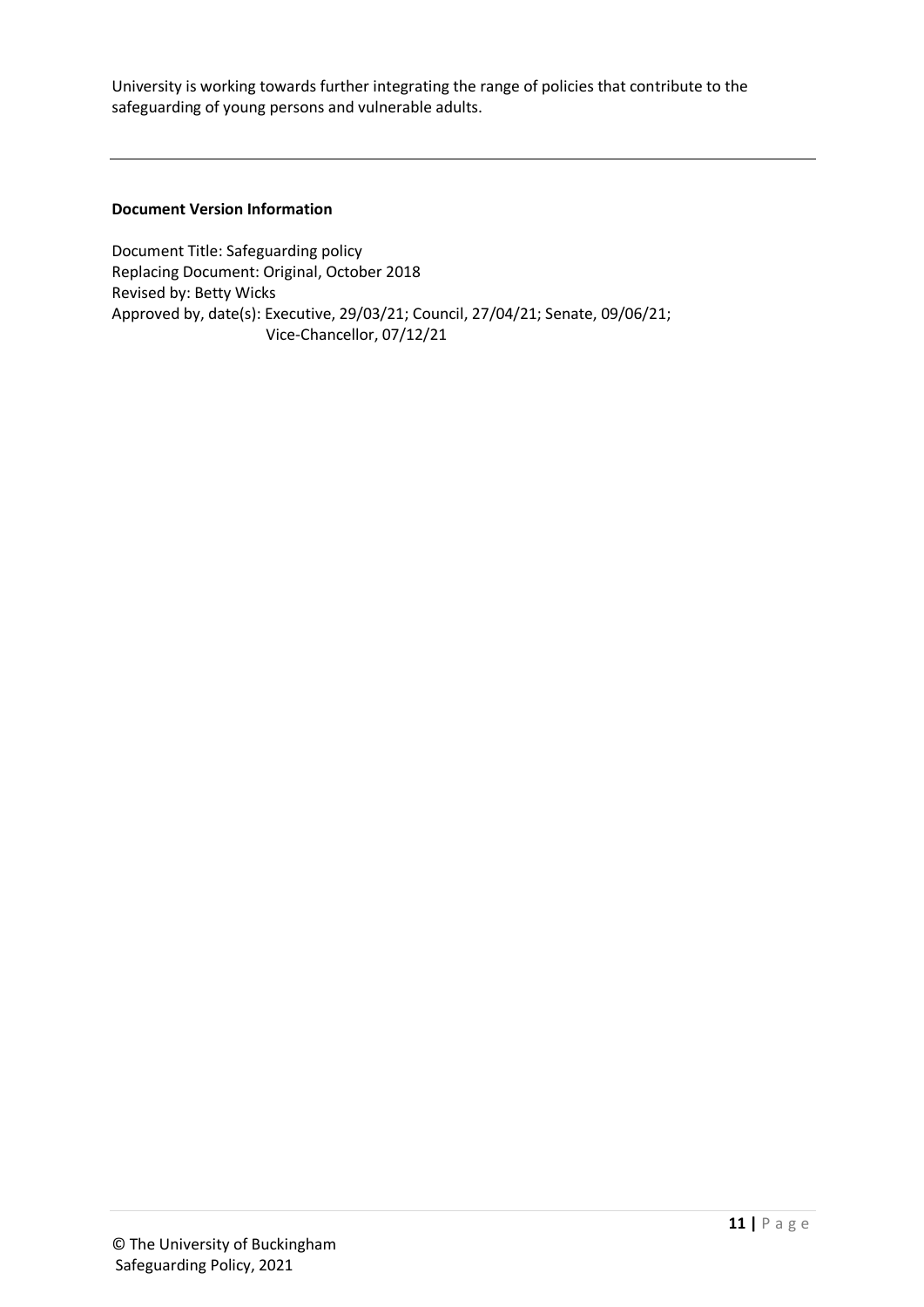University is working towards further integrating the range of policies that contribute to the safeguarding of young persons and vulnerable adults.

#### **Document Version Information**

Document Title: Safeguarding policy Replacing Document: Original, October 2018 Revised by: Betty Wicks Approved by, date(s): Executive, 29/03/21; Council, 27/04/21; Senate, 09/06/21; Vice-Chancellor, 07/12/21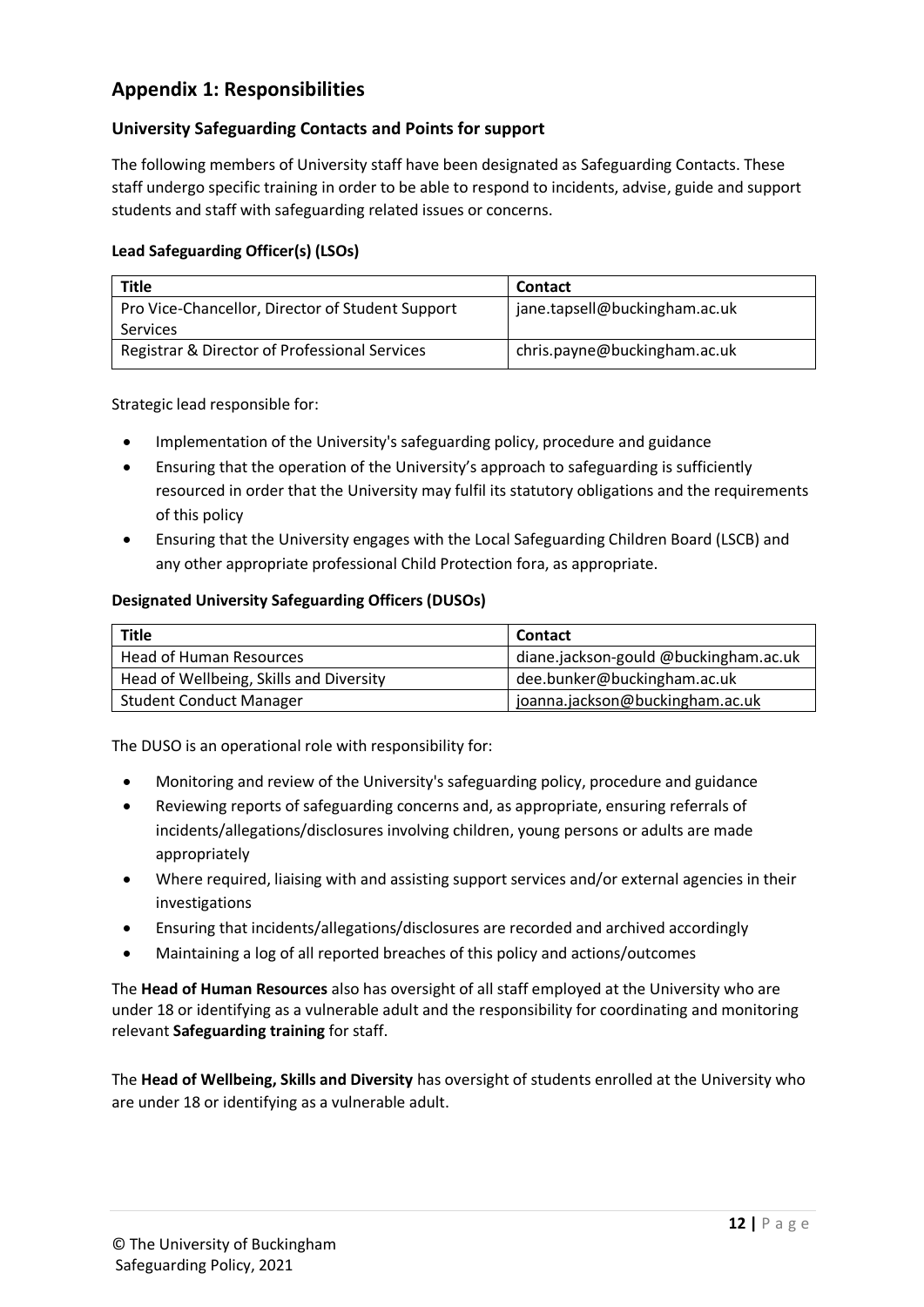## **Appendix 1: Responsibilities**

#### **University Safeguarding Contacts and Points for support**

The following members of University staff have been designated as Safeguarding Contacts. These staff undergo specific training in order to be able to respond to incidents, advise, guide and support students and staff with safeguarding related issues or concerns.

#### **Lead Safeguarding Officer(s) (LSOs)**

| <b>Title</b>                                     | <b>Contact</b>                |
|--------------------------------------------------|-------------------------------|
| Pro Vice-Chancellor, Director of Student Support | jane.tapsell@buckingham.ac.uk |
| <b>Services</b>                                  |                               |
| Registrar & Director of Professional Services    | chris.payne@buckingham.ac.uk  |

Strategic lead responsible for:

- Implementation of the University's safeguarding policy, procedure and guidance
- Ensuring that the operation of the University's approach to safeguarding is sufficiently resourced in order that the University may fulfil its statutory obligations and the requirements of this policy
- Ensuring that the University engages with the Local Safeguarding Children Board (LSCB) and any other appropriate professional Child Protection fora, as appropriate.

#### **Designated University Safeguarding Officers (DUSOs)**

| <b>Title</b>                            | <b>Contact</b>                        |
|-----------------------------------------|---------------------------------------|
| Head of Human Resources                 | diane.jackson-gould @buckingham.ac.uk |
| Head of Wellbeing, Skills and Diversity | dee.bunker@buckingham.ac.uk           |
| <b>Student Conduct Manager</b>          | joanna.jackson@buckingham.ac.uk       |

The DUSO is an operational role with responsibility for:

- Monitoring and review of the University's safeguarding policy, procedure and guidance
- Reviewing reports of safeguarding concerns and, as appropriate, ensuring referrals of incidents/allegations/disclosures involving children, young persons or adults are made appropriately
- Where required, liaising with and assisting support services and/or external agencies in their investigations
- Ensuring that incidents/allegations/disclosures are recorded and archived accordingly
- Maintaining a log of all reported breaches of this policy and actions/outcomes

The **Head of Human Resources** also has oversight of all staff employed at the University who are under 18 or identifying as a vulnerable adult and the responsibility for coordinating and monitoring relevant **Safeguarding training** for staff.

The **Head of Wellbeing, Skills and Diversity** has oversight of students enrolled at the University who are under 18 or identifying as a vulnerable adult.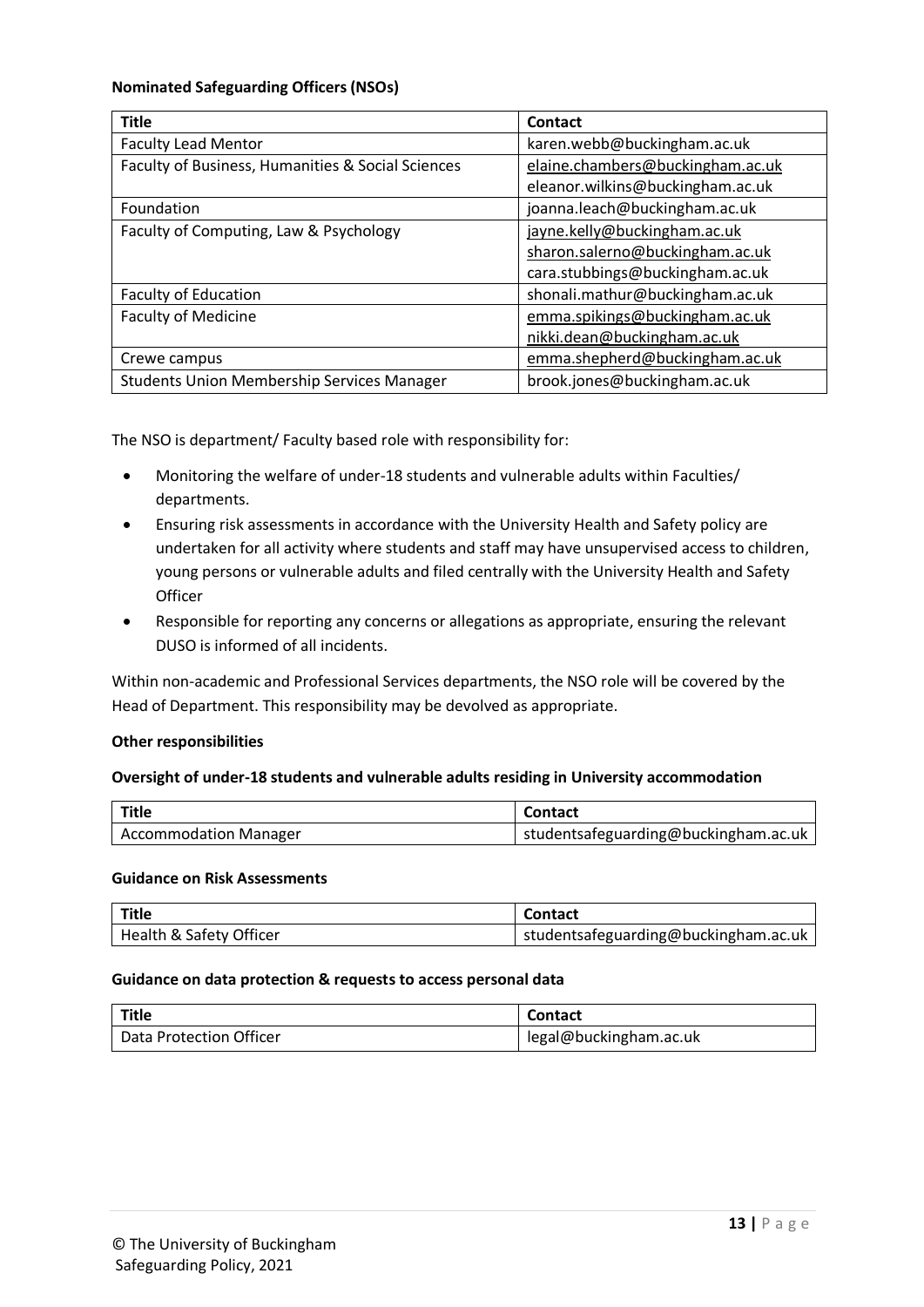#### **Nominated Safeguarding Officers (NSOs)**

| <b>Title</b>                                      | <b>Contact</b>                   |
|---------------------------------------------------|----------------------------------|
| <b>Faculty Lead Mentor</b>                        | karen.webb@buckingham.ac.uk      |
| Faculty of Business, Humanities & Social Sciences | elaine.chambers@buckingham.ac.uk |
|                                                   | eleanor.wilkins@buckingham.ac.uk |
| Foundation                                        | joanna.leach@buckingham.ac.uk    |
| Faculty of Computing, Law & Psychology            | jayne.kelly@buckingham.ac.uk     |
|                                                   | sharon.salerno@buckingham.ac.uk  |
|                                                   | cara.stubbings@buckingham.ac.uk  |
| Faculty of Education                              | shonali.mathur@buckingham.ac.uk  |
| <b>Faculty of Medicine</b>                        | emma.spikings@buckingham.ac.uk   |
|                                                   | nikki.dean@buckingham.ac.uk      |
| Crewe campus                                      | emma.shepherd@buckingham.ac.uk   |
| <b>Students Union Membership Services Manager</b> | brook.jones@buckingham.ac.uk     |

The NSO is department/ Faculty based role with responsibility for:

- Monitoring the welfare of under-18 students and vulnerable adults within Faculties/ departments.
- Ensuring risk assessments in accordance with the University Health and Safety policy are undertaken for all activity where students and staff may have unsupervised access to children, young persons or vulnerable adults and filed centrally with the University Health and Safety **Officer**
- Responsible for reporting any concerns or allegations as appropriate, ensuring the relevant DUSO is informed of all incidents.

Within non-academic and Professional Services departments, the NSO role will be covered by the Head of Department. This responsibility may be devolved as appropriate.

#### **Other responsibilities**

#### **Oversight of under-18 students and vulnerable adults residing in University accommodation**

| Title                        | <b>Contact</b>                       |
|------------------------------|--------------------------------------|
| <b>Accommodation Manager</b> | studentsafeguarding@buckingham.ac.uk |

#### **Guidance on Risk Assessments**

| Title                   | Contact                              |
|-------------------------|--------------------------------------|
| Health & Safety Officer | studentsafeguarding@buckingham.ac.uk |

#### **Guidance on data protection & requests to access personal data**

| Title                   | <b>Contact</b>         |
|-------------------------|------------------------|
| Data Protection Officer | legal@buckingham.ac.uk |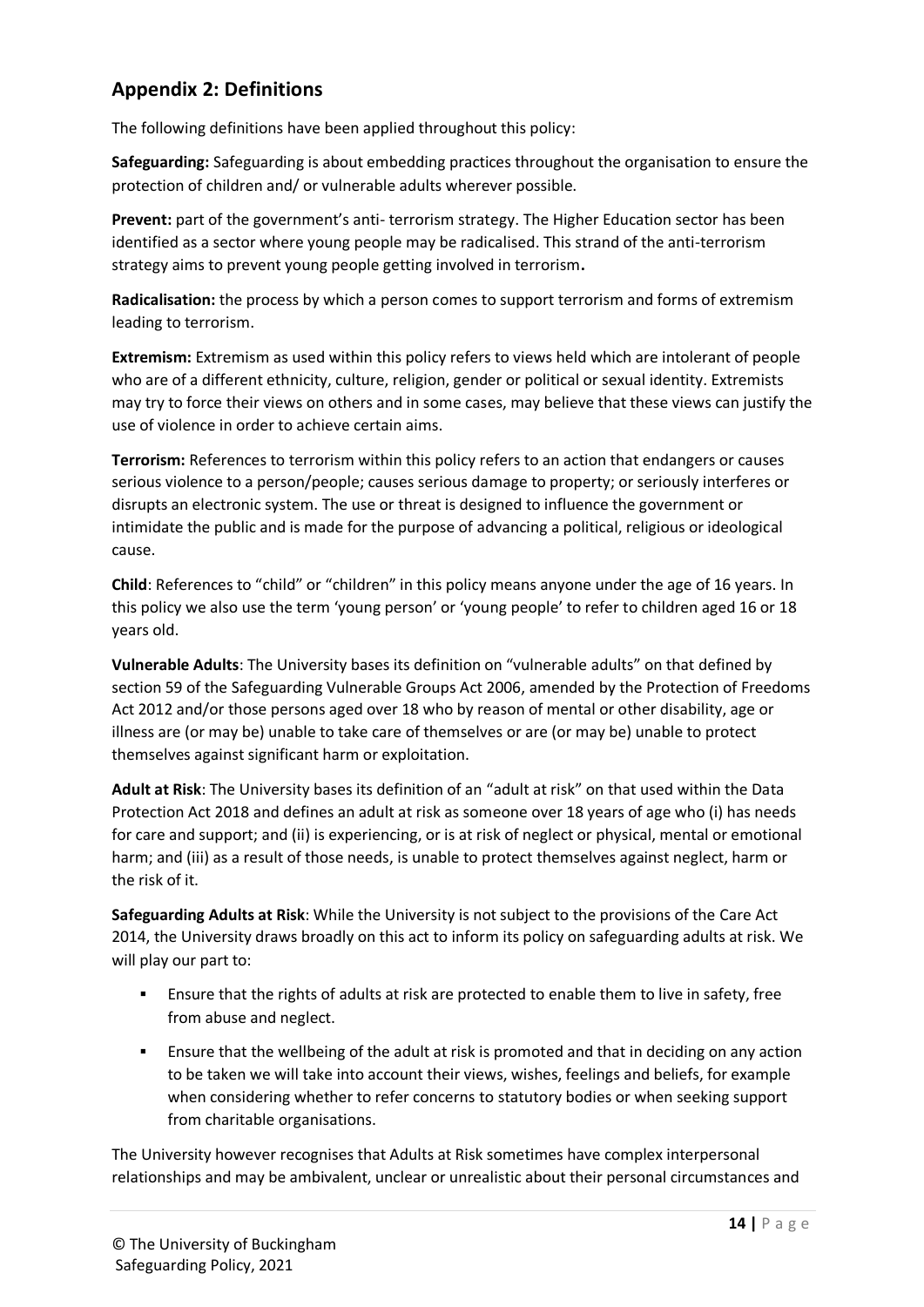## **Appendix 2: Definitions**

The following definitions have been applied throughout this policy:

**Safeguarding:** Safeguarding is about embedding practices throughout the organisation to ensure the protection of children and/ or vulnerable adults wherever possible.

**Prevent:** part of the government's anti- terrorism strategy. The Higher Education sector has been identified as a sector where young people may be radicalised. This strand of the anti-terrorism strategy aims to prevent young people getting involved in terrorism**.**

**Radicalisation:** the process by which a person comes to support terrorism and forms of extremism leading to terrorism.

**Extremism:** Extremism as used within this policy refers to views held which are intolerant of people who are of a different ethnicity, culture, religion, gender or political or sexual identity. Extremists may try to force their views on others and in some cases, may believe that these views can justify the use of violence in order to achieve certain aims.

**Terrorism:** References to terrorism within this policy refers to an action that endangers or causes serious violence to a person/people; causes serious damage to property; or seriously interferes or disrupts an electronic system. The use or threat is designed to influence the government or intimidate the public and is made for the purpose of advancing a political, religious or ideological cause.

**Child**: References to "child" or "children" in this policy means anyone under the age of 16 years. In this policy we also use the term 'young person' or 'young people' to refer to children aged 16 or 18 years old.

**Vulnerable Adults**: The University bases its definition on "vulnerable adults" on that defined by section 59 of the Safeguarding Vulnerable Groups Act 2006, amended by the Protection of Freedoms Act 2012 and/or those persons aged over 18 who by reason of mental or other disability, age or illness are (or may be) unable to take care of themselves or are (or may be) unable to protect themselves against significant harm or exploitation.

**Adult at Risk**: The University bases its definition of an "adult at risk" on that used within the Data Protection Act 2018 and defines an adult at risk as someone over 18 years of age who (i) has needs for care and support; and (ii) is experiencing, or is at risk of neglect or physical, mental or emotional harm; and (iii) as a result of those needs, is unable to protect themselves against neglect, harm or the risk of it.

**Safeguarding Adults at Risk**: While the University is not subject to the provisions of the Care Act 2014, the University draws broadly on this act to inform its policy on safeguarding adults at risk. We will play our part to:

- Ensure that the rights of adults at risk are protected to enable them to live in safety, free from abuse and neglect.
- Ensure that the wellbeing of the adult at risk is promoted and that in deciding on any action to be taken we will take into account their views, wishes, feelings and beliefs, for example when considering whether to refer concerns to statutory bodies or when seeking support from charitable organisations.

The University however recognises that Adults at Risk sometimes have complex interpersonal relationships and may be ambivalent, unclear or unrealistic about their personal circumstances and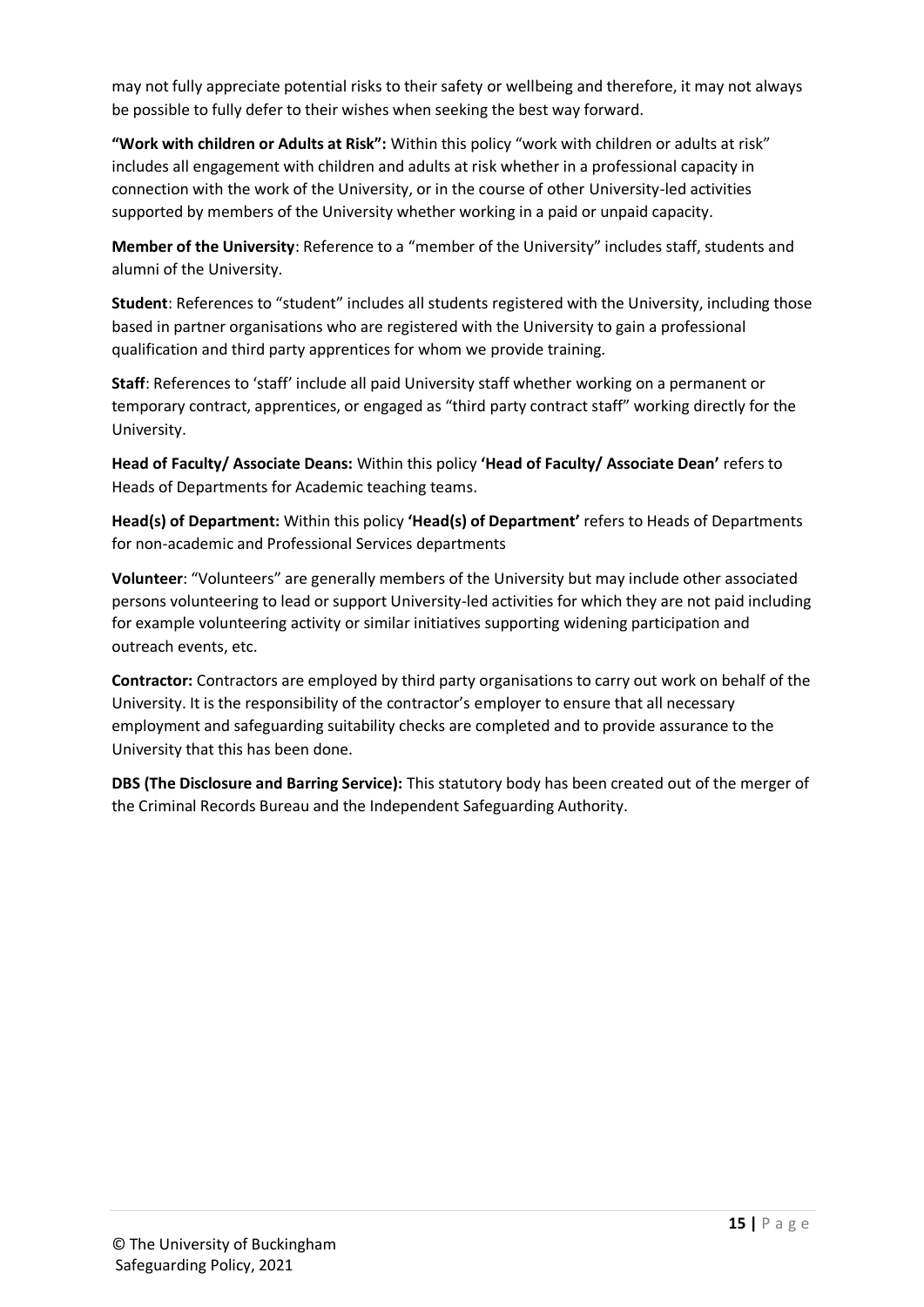may not fully appreciate potential risks to their safety or wellbeing and therefore, it may not always be possible to fully defer to their wishes when seeking the best way forward.

**"Work with children or Adults at Risk":** Within this policy "work with children or adults at risk" includes all engagement with children and adults at risk whether in a professional capacity in connection with the work of the University, or in the course of other University-led activities supported by members of the University whether working in a paid or unpaid capacity.

**Member of the University**: Reference to a "member of the University" includes staff, students and alumni of the University.

**Student**: References to "student" includes all students registered with the University, including those based in partner organisations who are registered with the University to gain a professional qualification and third party apprentices for whom we provide training.

**Staff**: References to 'staff' include all paid University staff whether working on a permanent or temporary contract, apprentices, or engaged as "third party contract staff" working directly for the University.

**Head of Faculty/ Associate Deans:** Within this policy **'Head of Faculty/ Associate Dean'** refers to Heads of Departments for Academic teaching teams.

**Head(s) of Department:** Within this policy **'Head(s) of Department'** refers to Heads of Departments for non-academic and Professional Services departments

**Volunteer**: "Volunteers" are generally members of the University but may include other associated persons volunteering to lead or support University-led activities for which they are not paid including for example volunteering activity or similar initiatives supporting widening participation and outreach events, etc.

**Contractor:** Contractors are employed by third party organisations to carry out work on behalf of the University. It is the responsibility of the contractor's employer to ensure that all necessary employment and safeguarding suitability checks are completed and to provide assurance to the University that this has been done.

**DBS (The Disclosure and Barring Service):** This statutory body has been created out of the merger of the Criminal Records Bureau and the Independent Safeguarding Authority.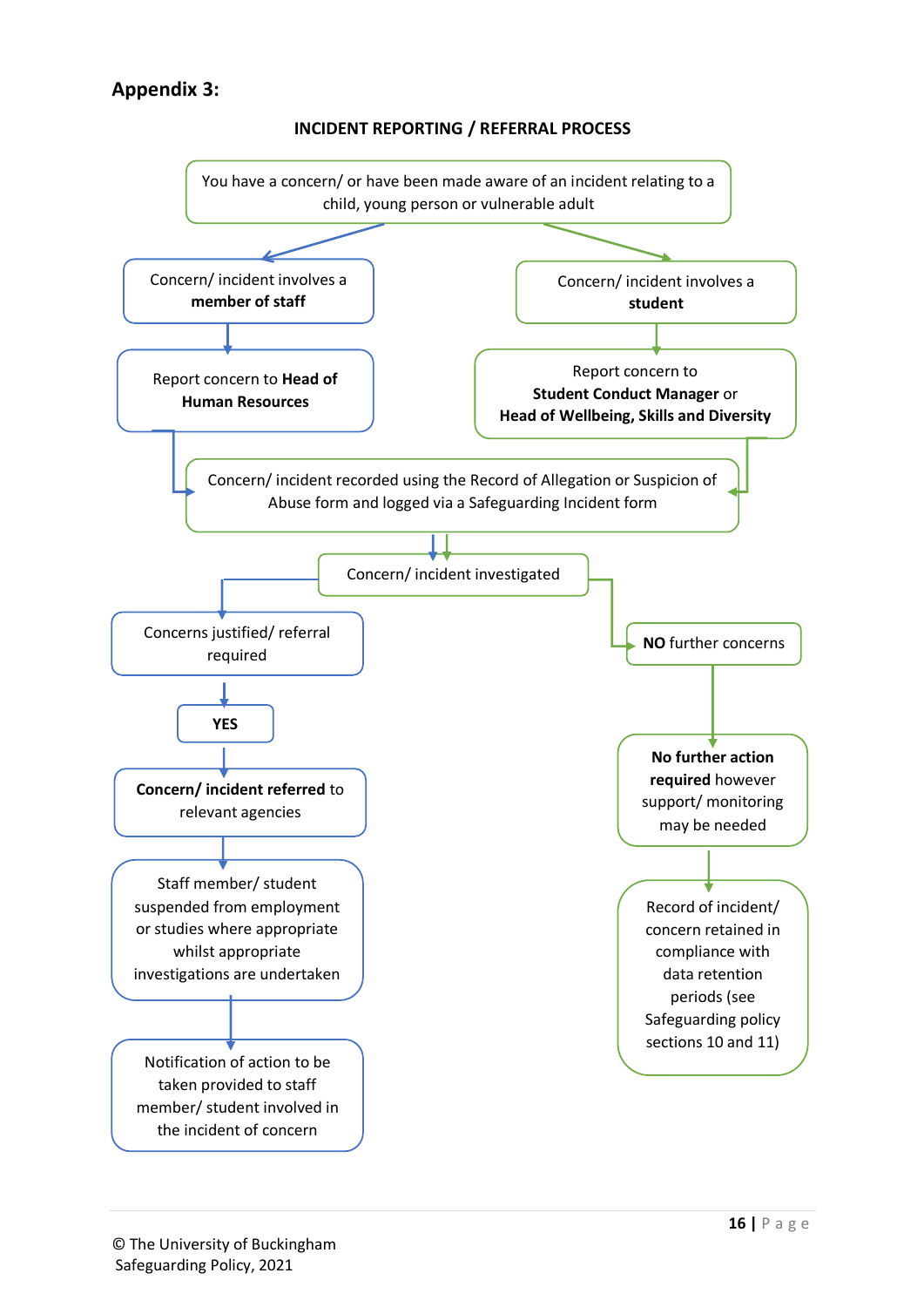## **Appendix 3:**

### **INCIDENT REPORTING / REFERRAL PROCESS**



© The University of Buckingham Safeguarding Policy, 2021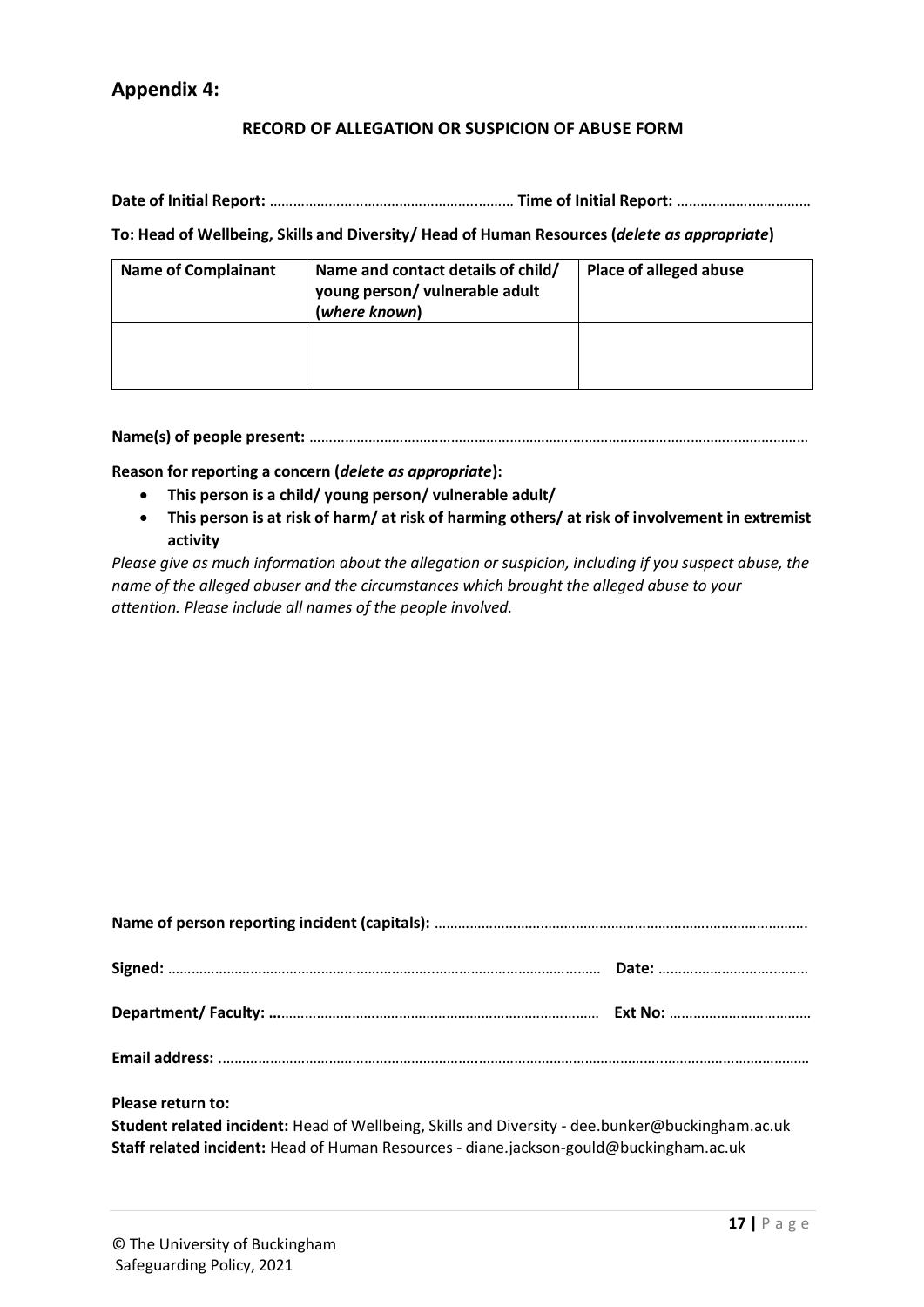## **Appendix 4:**

#### **RECORD OF ALLEGATION OR SUSPICION OF ABUSE FORM**

**Date of Initial Report:** ……………………………………………..……… **Time of Initial Report:** ……………….……………

**To: Head of Wellbeing, Skills and Diversity/ Head of Human Resources (***delete as appropriate***)**

| <b>Name of Complainant</b> | Name and contact details of child/<br>young person/ vulnerable adult<br>(where known) | Place of alleged abuse |
|----------------------------|---------------------------------------------------------------------------------------|------------------------|
|                            |                                                                                       |                        |

**Name(s) of people present:** ………………………………………………………….……………………………………………………

**Reason for reporting a concern (***delete as appropriate***):** 

- **This person is a child/ young person/ vulnerable adult/**
- **This person is at risk of harm/ at risk of harming others/ at risk of involvement in extremist activity**

*Please give as much information about the allegation or suspicion, including if you suspect abuse, the name of the alleged abuser and the circumstances which brought the alleged abuse to your attention. Please include all names of the people involved.*

**Please return to:**

**Student related incident:** Head of Wellbeing, Skills and Diversity - dee.bunker@buckingham.ac.uk **Staff related incident:** Head of Human Resources - diane.jackson-gould@buckingham.ac.uk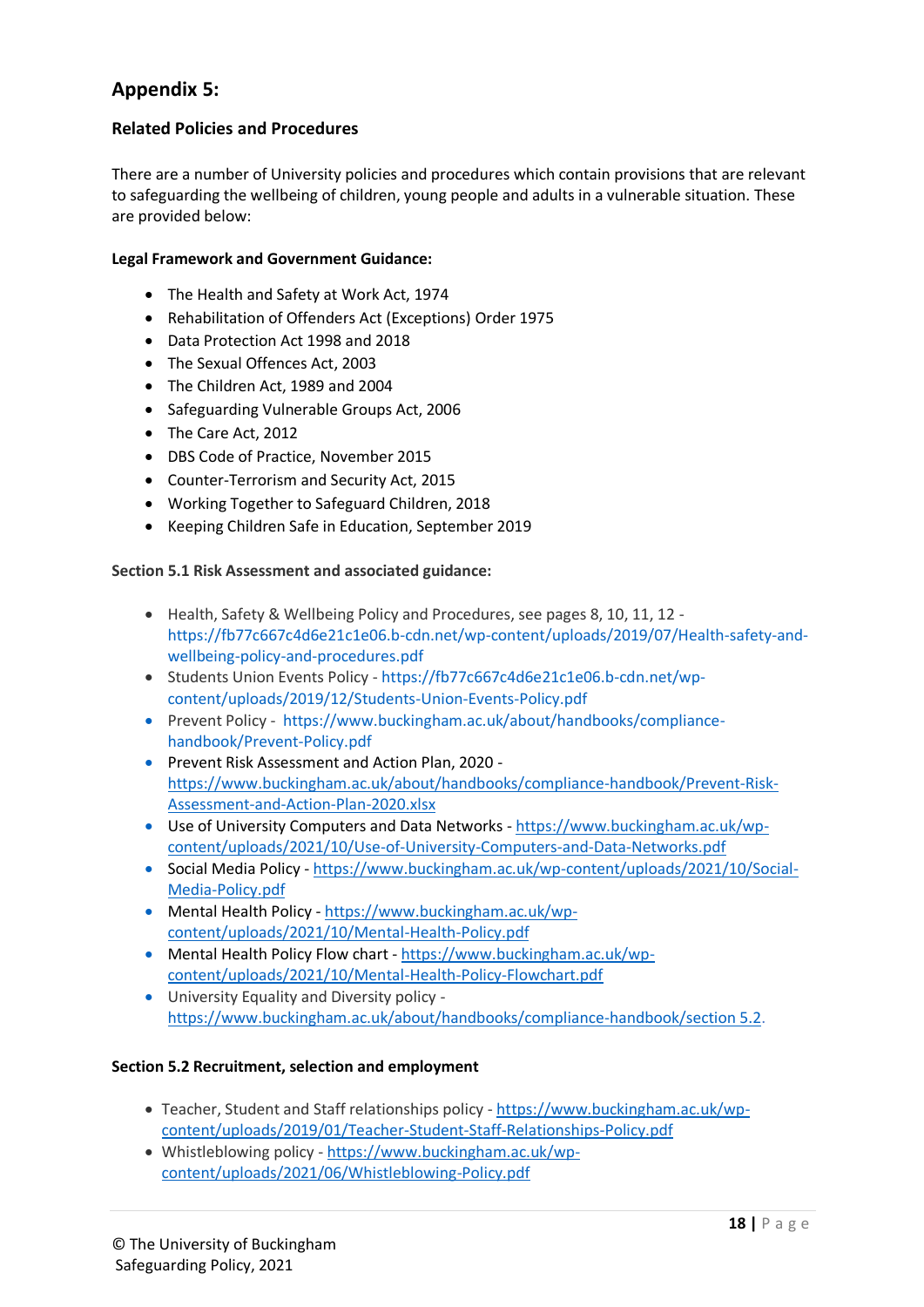## **Appendix 5:**

### **Related Policies and Procedures**

There are a number of University policies and procedures which contain provisions that are relevant to safeguarding the wellbeing of children, young people and adults in a vulnerable situation. These are provided below:

#### **Legal Framework and Government Guidance:**

- The Health and Safety at Work Act, 1974
- Rehabilitation of Offenders Act (Exceptions) Order 1975
- Data Protection Act 1998 and 2018
- The Sexual Offences Act, 2003
- The Children Act, 1989 and 2004
- Safeguarding Vulnerable Groups Act, 2006
- The Care Act, 2012
- DBS Code of Practice, November 2015
- Counter-Terrorism and Security Act, 2015
- Working Together to Safeguard Children, 2018
- Keeping Children Safe in Education, September 2019

#### **Section 5.1 Risk Assessment and associated guidance:**

- Health, Safety & Wellbeing Policy and Procedures, see pages 8, 10, 11, 12 [https://fb77c667c4d6e21c1e06.b-cdn.net/wp-content/uploads/2019/07/Health-safety-and](https://fb77c667c4d6e21c1e06.b-cdn.net/wp-content/uploads/2019/07/Health-safety-and-wellbeing-policy-and-procedures.pdf)[wellbeing-policy-and-procedures.pdf](https://fb77c667c4d6e21c1e06.b-cdn.net/wp-content/uploads/2019/07/Health-safety-and-wellbeing-policy-and-procedures.pdf)
- Students Union Events Policy [https://fb77c667c4d6e21c1e06.b-cdn.net/wp](https://fb77c667c4d6e21c1e06.b-cdn.net/wp-content/uploads/2019/12/Students-Union-Events-Policy.pdf)[content/uploads/2019/12/Students-Union-Events-Policy.pdf](https://fb77c667c4d6e21c1e06.b-cdn.net/wp-content/uploads/2019/12/Students-Union-Events-Policy.pdf)
- Prevent Policy [https://www.buckingham.ac.uk/about/handbooks/compliance](https://www.buckingham.ac.uk/about/handbooks/compliance-handbook/Prevent-Policy.pdf)[handbook/Prevent-Policy.pdf](https://www.buckingham.ac.uk/about/handbooks/compliance-handbook/Prevent-Policy.pdf)
- Prevent Risk Assessment and Action Plan, 2020 [https://www.buckingham.ac.uk/about/handbooks/compliance-handbook/Prevent-Risk-](https://www.buckingham.ac.uk/about/handbooks/compliance-handbook/Prevent-Risk-Assessment-and-Action-Plan-2020.xlsx)[Assessment-and-Action-Plan-2020.xlsx](https://www.buckingham.ac.uk/about/handbooks/compliance-handbook/Prevent-Risk-Assessment-and-Action-Plan-2020.xlsx)
- Use of University Computers and Data Networks [https://www.buckingham.ac.uk/wp](https://www.buckingham.ac.uk/wp-content/uploads/2021/10/Use-of-University-Computers-and-Data-Networks.pdf)[content/uploads/2021/10/Use-of-University-Computers-and-Data-Networks.pdf](https://www.buckingham.ac.uk/wp-content/uploads/2021/10/Use-of-University-Computers-and-Data-Networks.pdf)
- Social Media Policy [https://www.buckingham.ac.uk/wp-content/uploads/2021/10/Social-](https://www.buckingham.ac.uk/wp-content/uploads/2021/10/Social-Media-Policy.pdf)[Media-Policy.pdf](https://www.buckingham.ac.uk/wp-content/uploads/2021/10/Social-Media-Policy.pdf)
- Mental Health Policy [https://www.buckingham.ac.uk/wp](https://www.buckingham.ac.uk/wp-content/uploads/2021/10/Mental-Health-Policy.pdf)[content/uploads/2021/10/Mental-Health-Policy.pdf](https://www.buckingham.ac.uk/wp-content/uploads/2021/10/Mental-Health-Policy.pdf)
- Mental Health Policy Flow chart [https://www.buckingham.ac.uk/wp](https://www.buckingham.ac.uk/wp-content/uploads/2021/10/Mental-Health-Policy-Flowchart.pdf)[content/uploads/2021/10/Mental-Health-Policy-Flowchart.pdf](https://www.buckingham.ac.uk/wp-content/uploads/2021/10/Mental-Health-Policy-Flowchart.pdf)
- University Equality and Diversity policy [https://www.buckingham.ac.uk/about/handbooks/compliance-handbook/section 5.2.](https://www.buckingham.ac.uk/about/handbooks/compliance-handbook/section%205.2)

#### **Section 5.2 Recruitment, selection and employment**

- Teacher, Student and Staff relationships policy [https://www.buckingham.ac.uk/wp](https://www.buckingham.ac.uk/wp-content/uploads/2019/01/Teacher-Student-Staff-Relationships-Policy.pdf)[content/uploads/2019/01/Teacher-Student-Staff-Relationships-Policy.pdf](https://www.buckingham.ac.uk/wp-content/uploads/2019/01/Teacher-Student-Staff-Relationships-Policy.pdf)
- Whistleblowing policy [https://www.buckingham.ac.uk/wp](https://www.buckingham.ac.uk/wp-content/uploads/2021/06/Whistleblowing-Policy.pdf)[content/uploads/2021/06/Whistleblowing-Policy.pdf](https://www.buckingham.ac.uk/wp-content/uploads/2021/06/Whistleblowing-Policy.pdf)